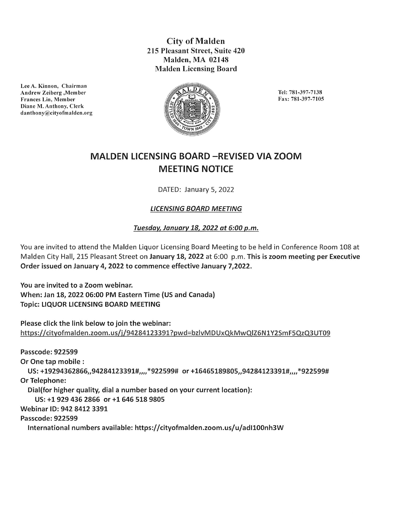City of Malden 215 Pleasant Street, Suite 420 Malden, MA 02148 Malden Licensing Board



Tel: 781-397-7138 Fax: 781-397-7105

## MALDEN LICENSING BOARD -REVISED VIA ZOOM MEETING NOTICE

DATED: January 5, 2022

## LICENSING BOARD MEETING

## Tuesday, January 18, 2022 at 6:00 p.m.

You are invited to attend the Malden Liquor Licensing Board Meeting to be held in Conference Room 108 at Malden City Hall, 215 Pleasant Street on January 18, 2022 at 6:00 p.m. This is zoom meeting per Executive Order issued on January 4, 2022 to commence effective January 7,2022.

You are invited to a Zoom webinar. When: Jan 18, 2022 06:00 PM Eastern Time (US and Canada) Topic: LIQUOR LICENSING BOARD MEETING

Please click the link below to join the webinar: https://citvofmalden.zoom.us/i/94284123391?pwd=bzlvMDUxQkMwQiZ6NlY25mF5QzQ3UT09

Passcode: 922599 Or One tap mobile : US: +19294362866,,94284123391#,,,,\*922599# or +16465189805,,94284123391#,,,,\*922599# Or Telephone: DiaI(for higher quality, dial a number based on your current location): US: +1 929 436 2866 or +1 646 518 9805 Webinar ID: 942 8412 3391 Passcode: 922599 International numbers available: https://cityofmalden.zoom.us/u/adll00nh3W

Lee A. Kinnon, Chairman Andrew Zeiberg, Member Frances Lin, Member Diane M. Antbony, Clerk danthony@cityofmalden.org